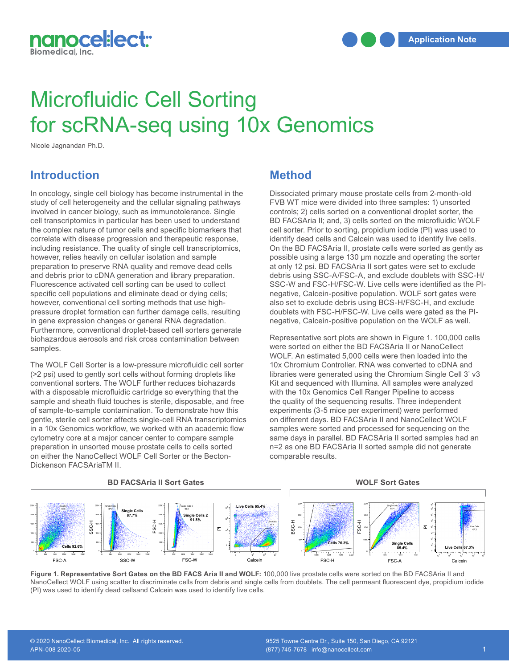

# Microfluidic Cell Sorting for scRNA-seq using 10x Genomics

Nicole Jagnandan Ph.D.

## **Introduction**

In oncology, single cell biology has become instrumental in the study of cell heterogeneity and the cellular signaling pathways involved in cancer biology, such as immunotolerance. Single cell transcriptomics in particular has been used to understand the complex nature of tumor cells and specific biomarkers that correlate with disease progression and therapeutic response, including resistance. The quality of single cell transcriptomics, however, relies heavily on cellular isolation and sample preparation to preserve RNA quality and remove dead cells and debris prior to cDNA generation and library preparation. Fluorescence activated cell sorting can be used to collect specific cell populations and eliminate dead or dying cells; however, conventional cell sorting methods that use highpressure droplet formation can further damage cells, resulting in gene expression changes or general RNA degradation. Furthermore, conventional droplet-based cell sorters generate biohazardous aerosols and risk cross contamination between samples.

The WOLF Cell Sorter is a low-pressure microfluidic cell sorter (>2 psi) used to gently sort cells without forming droplets like conventional sorters. The WOLF further reduces biohazards with a disposable microfluidic cartridge so everything that the sample and sheath fluid touches is sterile, disposable, and free of sample-to-sample contamination. To demonstrate how this gentle, sterile cell sorter affects single-cell RNA transcriptomics in a 10x Genomics workflow, we worked with an academic flow cytometry core at a major cancer center to compare sample preparation in unsorted mouse prostate cells to cells sorted on either the NanoCellect WOLF Cell Sorter or the Becton-Dickenson FACSAriaTM II.

### **Method**

Dissociated primary mouse prostate cells from 2-month-old FVB WT mice were divided into three samples: 1) unsorted controls; 2) cells sorted on a conventional droplet sorter, the BD FACSAria II; and, 3) cells sorted on the microfluidic WOLF cell sorter. Prior to sorting, propidium iodide (PI) was used to identify dead cells and Calcein was used to identify live cells. On the BD FACSAria II, prostate cells were sorted as gently as possible using a large 130 μm nozzle and operating the sorter at only 12 psi. BD FACSAria II sort gates were set to exclude debris using SSC-A/FSC-A, and exclude doublets with SSC-H/ SSC-W and FSC-H/FSC-W. Live cells were identified as the PInegative, Calcein-positive population. WOLF sort gates were also set to exclude debris using BCS-H/FSC-H, and exclude doublets with FSC-H/FSC-W. Live cells were gated as the PInegative, Calcein-positive population on the WOLF as well.

Representative sort plots are shown in Figure 1. 100,000 cells were sorted on either the BD FACSAria II or NanoCellect WOLF. An estimated 5,000 cells were then loaded into the 10x Chromium Controller. RNA was converted to cDNA and libraries were generated using the Chromium Single Cell 3' v3 Kit and sequenced with Illumina. All samples were analyzed with the 10x Genomics Cell Ranger Pipeline to access the quality of the sequencing results. Three independent experiments (3-5 mice per experiment) were performed **Bulgerments (C.C. and S.P.C. Supermann)** and PanoCellect WOLF samples were sorted and processed for sequencing on the same days in parallel. BD FACSAria II sorted samples had an same days in paraller. BD PACSAria in sorted samples had a<br>n=2 as one BD FACSAria II sorted sample did not generate comparable results.

**WOLF Sort Gates** 



Figure 1. Representative Sort Gates on the BD FACS Aria II and WOLF: 100,000 live prostate cells were sorted on the BD FACSAria II and<br>Name Onlight WOLF write a settente this printed to sell from deligies and similar alle NanoCellect WOLF using scatter to discriminate cells from debris and single cells from doublets. The cell permeant fluorescent dye, propidium iodide (PI) was used to identify dead cellsand Calcein was used to identify live cells.

**Live Cells 67.3%**

#### **BD FACSAria II Sort Gates**

**Strictly Confidential** © Copyright 2019 NanoCellect Biomedical. All rights reserved.

**85.4%**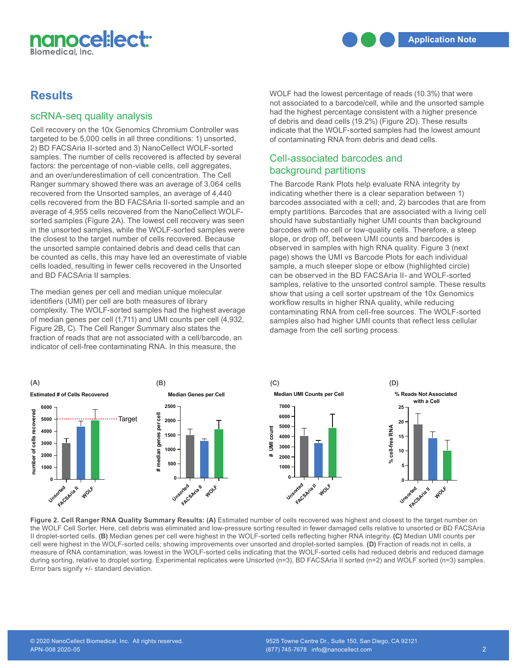

# **Results**

#### scRNA-seq quality analysis

Cell recovery on the 10x Genomics Chromium Controller was targeted to be 5,000 cells in all three conditions: 1) unsorted, 2) BD FACSAria II-sorted and 3) NanoCellect WOLF-sorted samples. The number of cells recovered is affected by several factors: the percentage of non-viable cells, cell aggregates, and an over/underestimation of cell concentration. The Cell Ranger summary showed there was an average of 3,064 cells recovered from the Unsorted samples, an average of 4,440 cells recovered from the BD FACSAria II-sorted sample and an average of 4,955 cells recovered from the NanoCellect WOLFsorted samples (Figure 2A). The lowest cell recovery was seen in the unsorted samples, while the WOLF-sorted samples were the closest to the target number of cells recovered. Because the unsorted sample contained debris and dead cells that can be counted as cells, this may have led an overestimate of viable cells loaded, resulting in fewer cells recovered in the Unsorted **6000** and BD FACSAria II samples.

The median genes per cell and median unique molecular identifiers (UMI) per cell are both measures of library complexity. The WOLF-sorted samples had the highest average of median genes per cell (1,711) and UMI counts per cell (4,932, **2000** Figure 2B, C). The Cell Ranger Summary also states the fraction of reads that are not associated with a cell/barcode, an indicator of cell-free contaminating RNA. In this measure, the

WOLF had the lowest percentage of reads (10.3%) that were not associated to a barcode/cell, while and the unsorted sample had the highest percentage consistent with a higher presence of debris and dead cells (19.2%) (Figure 2D). These results indicate that the WOLF-sorted samples had the lowest amount of contaminating RNA from debris and dead cells.

#### Cell-associated barcodes and background partitions

The Barcode Rank Plots help evaluate RNA integrity by indicating whether there is a clear separation between 1) barcodes associated with a cell; and, 2) barcodes that are from empty partitions. Barcodes that are associated with a living cell should have substantially higher UMI counts than background barcodes with no cell or low-quality cells. Therefore, a steep slope, or drop off, between UMI counts and barcodes is observed in samples with high RNA quality. Figure 3 (next page) shows the UMI vs Barcode Plots for each individual sample, a much steeper slope or elbow (highlighted circle) **6000 2500 2500** can be observed in the BD FACSAria II- and WOLF-sorted **50000** Target Modern Inc. But According it-and WCET-sorted in the samples, relative to the unsorted control sample. These results show that using a cell sorter upstream of the 10x Genomics workflow results in higher RNA quality, while reducing **3000** contaminating RNA from cell-free sources. The WOLF-sorted samples also had higher UMI counts that reflect less cellular **500 500** damage from the cell sorting process. page) shows the UMI v<br>sample, a much steep<br>can be observed in the<br>samples, relative to the<br>show that using a cell<br>workflow results in hig<br>contaminating RNA fre<br>samples also had high<br>damage from the cell s *N*<br>01<br>10<br>eec **iable** page) show<br>ted sample, a n<br>can be obse<br>samples, re<br>show that u<br>workflow re<br>contamination<br>932, samples als<br>damage fro ri<br>aا:a<br>ali<br>sc



**Figure 2. Cell Ranger RNA Quality Summary Results: (A)** Estimated number of cells recovered was highest and closest to the target number on the WOLF Cell Sorter. Here, cell debris was eliminated and low-pressure sorting resulted in fewer damaged cells relative to unsorted or BD FACSAria Il droplet-sorted cells. (B) Median genes per cell were highest in the WOLF-sorted cells reflecting higher RNA integrity. (C) Median UMI counts per cell were highest in the WOLF-sorted cells; showing improvements over unsorted and droplet-sorted samples. **(D)** Fraction of reads not in cells, a measure of RNA contamination, was lowest in the WOLF-sorted cells indicating that the WOLF-sorted cells had reduced debris and reduced damage **25 25** during sorting, relative to droplet sorting. Experimental replicates were Unsorted (n=3), BD FACSAria II sorted (n=2) and WOLF sorted (n=3) samples. **6000** Error bars signify +/- standard deviation. **5000 # II droplet-sorted cells. (B**<br>**Evall were highest in the V**<br>**Example 18 FONA contam**<br>**during sorting, relative to**<br>**Error bars signify +/- star 20 20 H** droplet-sorte<br>
cell were highe<br>
measure of RN<br>
during sorting,<br>
Error bars sign

> **Unsorted FACSAria II**

**WOLF**

**WOLF**

**WOLF** 

**WOLF**